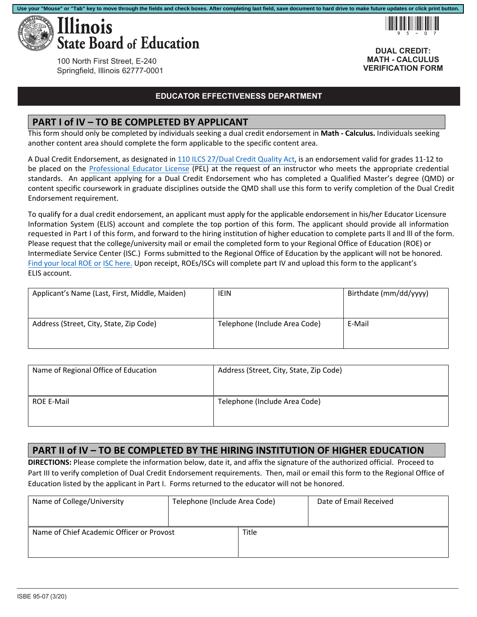

!95-07

**DUAL CREDIT: MATH - CALCULUS VERIFICATION FORM**

100 North First Street, E-240 Springfield, Illinois 62777-0001

#### **EDUCATOR EFFECTIVENESS DEPARTMENT**

### **PART I of IV – TO BE COMPLETED BY APPLICANT**

This form should only be completed by individuals seeking a dual credit endorsement in **Math - Calculus.** Individuals seeking another content area should complete the form applicable to the specific content area.

A Dual Credit Endorsement, as designated in [110 ILCS 27/Dual Credit Quality Act](http://www.ilga.gov/legislation/ilcs/ilcs3.asp?ActID=3117&ChapterID=18), is an endorsement valid for grades 11‐12 to be placed on the Professional Educator License (PEL) at the request of an instructor who meets the appropriate credential standards. An applicant applying for a Dual Credit Endorsement who has completed a Qualified Master's degree (QMD) or content specific coursework in graduate disciplines outside the QMD shall use this form to verify completion of the Dual Credit Endorsement requirement.

To qualify for a dual credit endorsement, an applicant must apply for the applicable endorsement in his/her Educator Licensure Information System (ELIS) account and complete the top portion of this form. The applicant should provide all information requested in Part I of this form, and forward to the hiring institution of higher education to complete parts ll and lll of the form. Please request that the college/university mail or email the completed form to your Regional Office of Education (ROE) or Intermediate Service Center (ISC.) Forms submitted to the Regional Office of Education by the applicant will not be honored. Find your local ROE or ISC here. Upon receipt, ROEs/ISCs will complete part IV and upload this form to the applicant's ELIS account.

| Applicant's Name (Last, First, Middle, Maiden) | IEIN                          | Birthdate (mm/dd/yyyy) |
|------------------------------------------------|-------------------------------|------------------------|
| Address (Street, City, State, Zip Code)        | Telephone (Include Area Code) | E-Mail                 |

| Name of Regional Office of Education | Address (Street, City, State, Zip Code) |
|--------------------------------------|-----------------------------------------|
| <b>ROE E-Mail</b>                    | Telephone (Include Area Code)           |

### **PART II of IV – TO BE COMPLETED BY THE HIRING INSTITUTION OF HIGHER EDUCATION**

**DIRECTIONS:** Please complete the information below, date it, and affix the signature of the authorized official. Proceed to Part III to verify completion of Dual Credit Endorsement requirements. Then, mail or email this form to the Regional Office of Education listed by the applicant in Part I. Forms returned to the educator will not be honored.

| Name of College/University                | Telephone (Include Area Code) |       | Date of Email Received |
|-------------------------------------------|-------------------------------|-------|------------------------|
| Name of Chief Academic Officer or Provost |                               | Title |                        |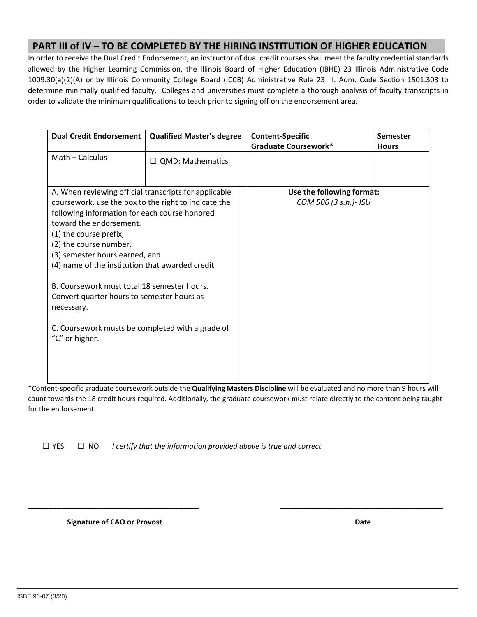## **PART III of IV – TO BE COMPLETED BY THE HIRING INSTITUTION OF HIGHER EDUCATION**

In order to receive the Dual Credit Endorsement, an instructor of dual credit courses shall meet the faculty credential standards allowed by the Higher Learning Commission, the Illinois Board of Higher Education (IBHE) 23 Illinois Administrative Code 1009.30(a)(2)(A) or by Illinois Community College Board (ICCB) Administrative Rule 23 Ill. Adm. Code Section 1501.303 to determine minimally qualified faculty. Colleges and universities must complete a thorough analysis of faculty transcripts in order to validate the minimum qualifications to teach prior to signing off on the endorsement area.

| <b>Dual Credit Endorsement</b>                                                                                                                                                                                                                                                                                                                                                       | <b>Qualified Master's degree</b> | <b>Content-Specific</b><br><b>Graduate Coursework*</b> | <b>Semester</b><br><b>Hours</b> |
|--------------------------------------------------------------------------------------------------------------------------------------------------------------------------------------------------------------------------------------------------------------------------------------------------------------------------------------------------------------------------------------|----------------------------------|--------------------------------------------------------|---------------------------------|
| Math - Calculus                                                                                                                                                                                                                                                                                                                                                                      | $\Box$ QMD: Mathematics          |                                                        |                                 |
| A. When reviewing official transcripts for applicable                                                                                                                                                                                                                                                                                                                                |                                  | Use the following format:                              |                                 |
| coursework, use the box to the right to indicate the<br>following information for each course honored<br>toward the endorsement.<br>(1) the course prefix,<br>(2) the course number,<br>(3) semester hours earned, and<br>(4) name of the institution that awarded credit<br>B. Coursework must total 18 semester hours.<br>Convert quarter hours to semester hours as<br>necessary. |                                  | COM 506 (3 s.h.)- ISU                                  |                                 |
| C. Coursework musts be completed with a grade of<br>"C" or higher.                                                                                                                                                                                                                                                                                                                   |                                  |                                                        |                                 |

\*Content‐specific graduate coursework outside the **Qualifying Masters Discipline** will be evaluated and no more than 9 hours will count towards the 18 credit hours required. Additionally, the graduate coursework must relate directly to the content being taught for the endorsement.

**\_\_\_\_\_\_\_\_\_\_\_\_\_\_\_\_\_\_\_\_\_\_\_\_\_\_\_\_\_\_\_\_\_\_\_\_\_\_\_\_\_\_ \_\_\_\_\_\_\_\_\_\_\_\_\_\_\_\_\_\_\_\_\_\_\_\_\_\_\_\_\_\_\_\_\_\_\_\_\_\_\_\_** 

 $\Box$  YES  $\Box$  NO *I certify that the information provided above is true and correct.* 

 **Signature of CAO or Provost**  *<b>Date <b>Date Date <b>Date Date Date*